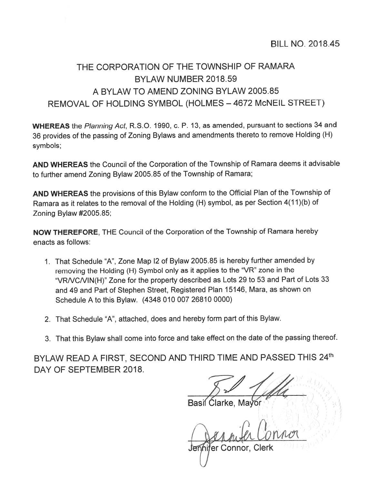## THE CORPORATION OF THE TOWNSHIP OF RAMARA BYLAW NUMBER 2018.59 A BYLAW TO AMEND ZONING BYLAW 2005.85 REMOVAL OF HOLDING SYMBOL (HOLMES - 4672 McNEIL STREET)

WHEREAS the Planning Act, R.S.O. 1990, c. P. 13, as amended, pursuant to sections 34 and <sup>36</sup> provides of the passing of Zoning Bylaws and amendments thereto to remove Holding (H) symbols;

AND WHEREAS the Council of the Corporation of the Township of Ramara deems it advisable to further amend Zoning Bylaw 2005.85 of the Township of Ramara;

AND WHEREAS the provisions of this Bylaw conform to the Official Plan of the Township of Ramara as it relates to the removal of the Holding (H) symbol, as per Section 4(11)(b) of Zoning Bylaw #2005.85;

NOW THEREFORE, THE Council of the Corporation of the Township of Ramara hereby enacts as follows:

- 1. That Schedule "A", Zone Map I2 of Bylaw 2005.85 is hereby further amended by removing the Holding (H) Symbol only as it applies to the "VR" zone in the "VRNCNIN(H)" Zone for the property described as Lots <sup>29</sup> to <sup>53</sup> and Part of Lots <sup>33</sup> and 49 and Part of Stephen Street, Registered Plan 15146, Mara, as shown on Schedule A to this Bylaw. (4348 010 007 26810 0000)
- 2. That Schedule "A", attached, does and hereby form par<sup>t</sup> of this Bylaw.
- 3. That this Bylaw shall come into force and take effect on the date of the passing thereof.

BYLAW READ A FIRST, SECOND AND THIRD TIME AND PASSED THIS 24th DAY OF SEPTEMBER 2018.

Basil Clarke.

hifer Connor, Clerk